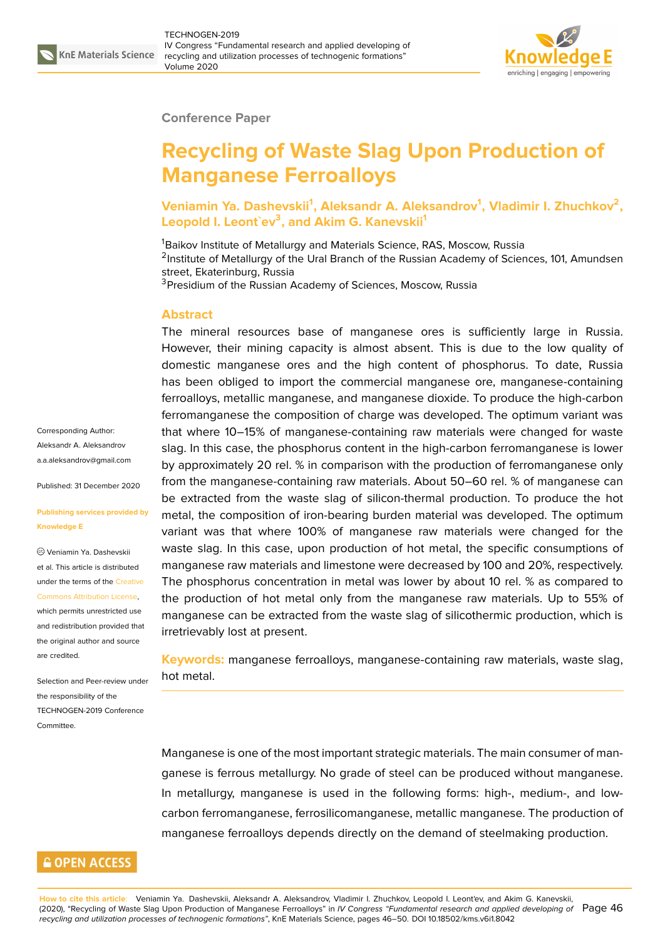

### **Conference Paper**

# **Recycling of Waste Slag Upon Production of Manganese Ferroalloys**

**V**eniamin Ya. Dashevskii<sup>1</sup>, Aleksandr A. Aleksandrov<sup>1</sup>, Vladimir I. Zhuchkov<sup>2</sup>, **Leopold I. Leontˋev<sup>3</sup> , and Akim G. Kanevskii<sup>1</sup>**

<sup>1</sup>Baikov Institute of Metallurgy and Materials Science, RAS, Moscow, Russia <sup>2</sup>Institute of Metallurgy of the Ural Branch of the Russian Academy of Sciences, 101, Amundsen street, Ekaterinburg, Russia

<sup>3</sup> Presidium of the Russian Academy of Sciences, Moscow, Russia

### **Abstract**

The mineral resources base of manganese ores is sufficiently large in Russia. However, their mining capacity is almost absent. This is due to the low quality of domestic manganese ores and the high content of phosphorus. To date, Russia has been obliged to import the commercial manganese ore, manganese-containing ferroalloys, metallic manganese, and manganese dioxide. To produce the high-carbon ferromanganese the composition of charge was developed. The optimum variant was that where 10–15% of manganese-containing raw materials were changed for waste slag. In this case, the phosphorus content in the high-carbon ferromanganese is lower by approximately 20 rel. % in comparison with the production of ferromanganese only from the manganese-containing raw materials. About 50–60 rel. % of manganese can be extracted from the waste slag of silicon-thermal production. To produce the hot metal, the composition of iron-bearing burden material was developed. The optimum variant was that where 100% of manganese raw materials were changed for the waste slag. In this case, upon production of hot metal, the specific consumptions of manganese raw materials and limestone were decreased by 100 and 20%, respectively. The phosphorus concentration in metal was lower by about 10 rel. % as compared to the production of hot metal only from the manganese raw materials. Up to 55% of manganese can be extracted from the waste slag of silicothermic production, which is irretrievably lost at present.

**Keywords:** manganese ferroalloys, manganese-containing raw materials, waste slag, hot metal.

Manganese is one of the most important strategic materials. The main consumer of manganese is ferrous metallurgy. No grade of steel can be produced without manganese. In metallurgy, manganese is used in the following forms: high-, medium-, and lowcarbon ferromanganese, ferrosilicomanganese, metallic manganese. The production of manganese ferroalloys depends directly on the demand of steelmaking production.

Corresponding Author: Aleksandr A. Aleksandrov a.a.aleksandrov@gmail.com

Published: 31 December 2020

#### **[Publishing services provide](mailto:a.a.aleksandrov@gmail.com)d by Knowledge E**

Veniamin Ya. Dashevskii et al. This article is distributed under the terms of the Creative Commons Attribution License,

which permits unrestricted use and redistribution provided that the original author and [source](https://creativecommons.org/licenses/by/4.0/) [are credited.](https://creativecommons.org/licenses/by/4.0/)

Selection and Peer-review under the responsibility of the TECHNOGEN-2019 Conference Committee.

## **GOPEN ACCESS**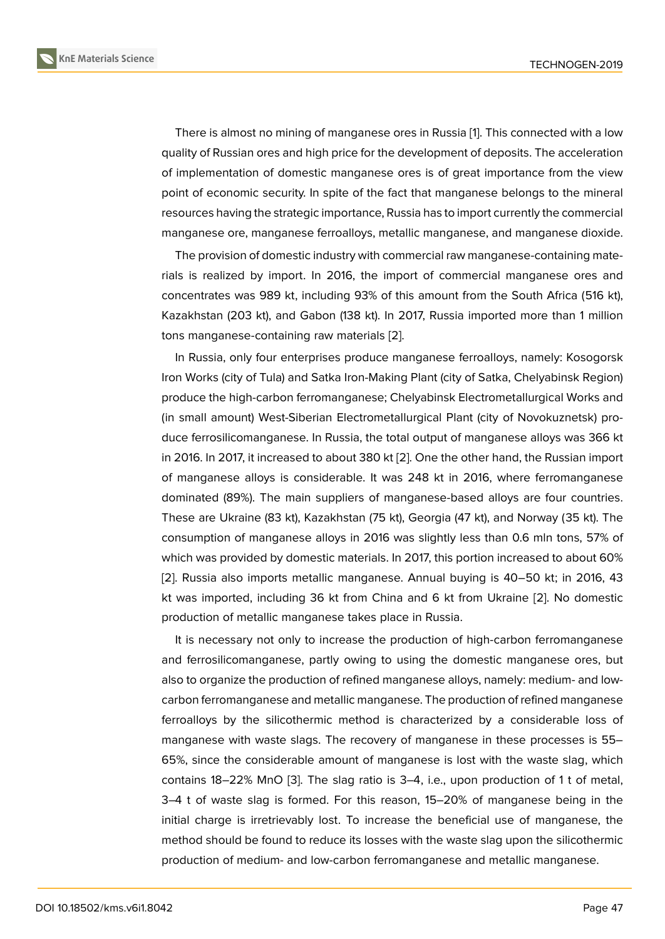There is almost no mining of manganese ores in Russia [1]. This connected with a low quality of Russian ores and high price for the development of deposits. The acceleration of implementation of domestic manganese ores is of great importance from the view point of economic security. In spite of the fact that manga[n](#page-4-0)ese belongs to the mineral resources having the strategic importance, Russia has to import currently the commercial manganese ore, manganese ferroalloys, metallic manganese, and manganese dioxide.

The provision of domestic industry with commercial raw manganese-containing materials is realized by import. In 2016, the import of commercial manganese ores and concentrates was 989 kt, including 93% of this amount from the South Africa (516 kt), Kazakhstan (203 kt), and Gabon (138 kt). In 2017, Russia imported more than 1 million tons manganese-containing raw materials [2].

In Russia, only four enterprises produce manganese ferroalloys, namely: Kosogorsk Iron Works (city of Tula) and Satka Iron-Making Plant (city of Satka, Chelyabinsk Region) produce the high-carbon ferromanganese; [Ch](#page-4-1)elyabinsk Electrometallurgical Works and (in small amount) West-Siberian Electrometallurgical Plant (city of Novokuznetsk) produce ferrosilicomanganese. In Russia, the total output of manganese alloys was 366 kt in 2016. In 2017, it increased to about 380 kt [2]. One the other hand, the Russian import of manganese alloys is considerable. It was 248 kt in 2016, where ferromanganese dominated (89%). The main suppliers of manganese-based alloys are four countries. These are Ukraine (83 kt), Kazakhstan (75 kt[\),](#page-4-1) Georgia (47 kt), and Norway (35 kt). The consumption of manganese alloys in 2016 was slightly less than 0.6 mln tons, 57% of which was provided by domestic materials. In 2017, this portion increased to about 60% [2]. Russia also imports metallic manganese. Annual buying is 40–50 kt; in 2016, 43 kt was imported, including 36 kt from China and 6 kt from Ukraine [2]. No domestic production of metallic manganese takes place in Russia.

It is necessary not only to increase the production of high-carbon ferromanganese and ferrosilicomanganese, partly owing to using the domestic man[gan](#page-4-1)ese ores, but also to organize the production of refined manganese alloys, namely: medium- and lowcarbon ferromanganese and metallic manganese. The production of refined manganese ferroalloys by the silicothermic method is characterized by a considerable loss of manganese with waste slags. The recovery of manganese in these processes is 55– 65%, since the considerable amount of manganese is lost with the waste slag, which contains 18–22% MnO [3]. The slag ratio is 3–4, i.e., upon production of 1 t of metal, 3–4 t of waste slag is formed. For this reason, 15–20% of manganese being in the initial charge is irretrievably lost. To increase the beneficial use of manganese, the method should be foun[d t](#page-4-2)o reduce its losses with the waste slag upon the silicothermic production of medium- and low-carbon ferromanganese and metallic manganese.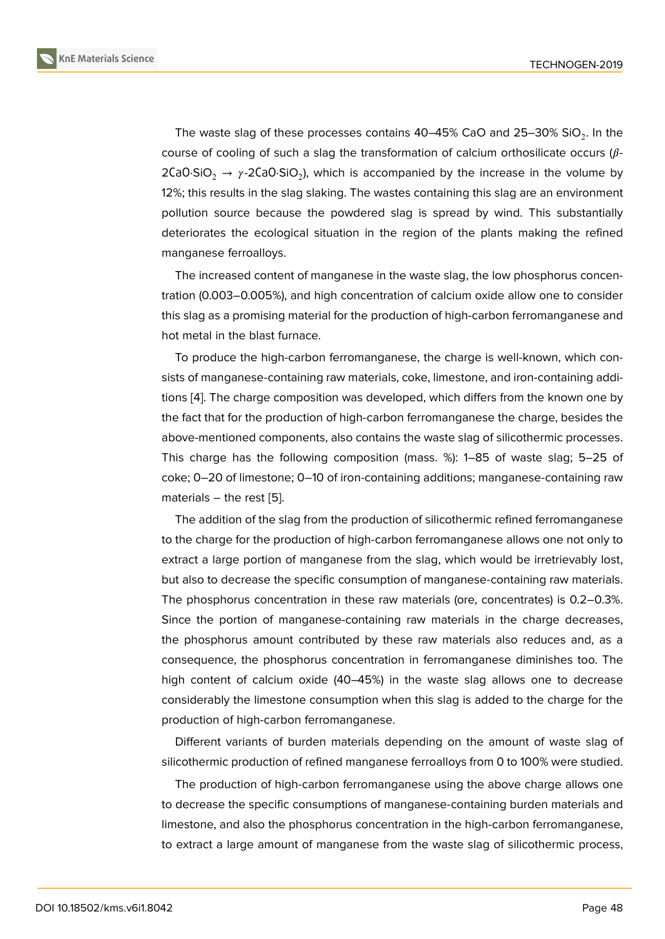The waste slag of these processes contains 40–45% CaO and 25–30% SiO $_2$ . In the course of cooling of such a slag the transformation of calcium orthosilicate occurs ( $\beta$ -2CaO·SiO $_2$   $\rightarrow$   $\gamma$ -2CaO·SiO $_2$ ), which is accompanied by the increase in the volume by 12%; this results in the slag slaking. The wastes containing this slag are an environment pollution source because the powdered slag is spread by wind. This substantially deteriorates the ecological situation in the region of the plants making the refined manganese ferroalloys.

The increased content of manganese in the waste slag, the low phosphorus concentration (0.003–0.005%), and high concentration of calcium oxide allow one to consider this slag as a promising material for the production of high-carbon ferromanganese and hot metal in the blast furnace.

To produce the high-carbon ferromanganese, the charge is well-known, which consists of manganese-containing raw materials, coke, limestone, and iron-containing additions [4]. The charge composition was developed, which differs from the known one by the fact that for the production of high-carbon ferromanganese the charge, besides the above-mentioned components, also contains the waste slag of silicothermic processes. This [ch](#page-4-3)arge has the following composition (mass. %): 1–85 of waste slag; 5–25 of coke; 0–20 of limestone; 0–10 of iron-containing additions; manganese-containing raw materials – the rest [5].

The addition of the slag from the production of silicothermic refined ferromanganese to the charge for the production of high-carbon ferromanganese allows one not only to extract a large porti[on](#page-4-4) of manganese from the slag, which would be irretrievably lost, but also to decrease the specific consumption of manganese-containing raw materials. The phosphorus concentration in these raw materials (ore, concentrates) is 0.2–0.3%. Since the portion of manganese-containing raw materials in the charge decreases, the phosphorus amount contributed by these raw materials also reduces and, as a consequence, the phosphorus concentration in ferromanganese diminishes too. The high content of calcium oxide (40–45%) in the waste slag allows one to decrease considerably the limestone consumption when this slag is added to the charge for the production of high-carbon ferromanganese.

Different variants of burden materials depending on the amount of waste slag of silicothermic production of refined manganese ferroalloys from 0 to 100% were studied.

The production of high-carbon ferromanganese using the above charge allows one to decrease the specific consumptions of manganese-containing burden materials and limestone, and also the phosphorus concentration in the high-carbon ferromanganese, to extract a large amount of manganese from the waste slag of silicothermic process,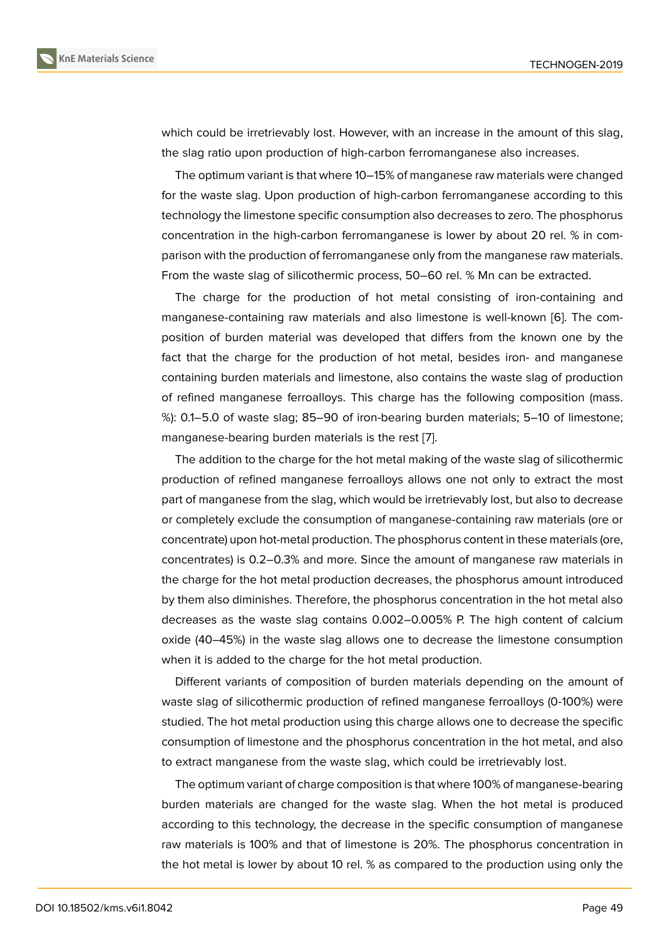which could be irretrievably lost. However, with an increase in the amount of this slag, the slag ratio upon production of high-carbon ferromanganese also increases.

The optimum variant is that where 10–15% of manganese raw materials were changed for the waste slag. Upon production of high-carbon ferromanganese according to this technology the limestone specific consumption also decreases to zero. The phosphorus concentration in the high-carbon ferromanganese is lower by about 20 rel. % in comparison with the production of ferromanganese only from the manganese raw materials. From the waste slag of silicothermic process, 50–60 rel. % Mn can be extracted.

The charge for the production of hot metal consisting of iron-containing and manganese-containing raw materials and also limestone is well-known [6]. The composition of burden material was developed that differs from the known one by the fact that the charge for the production of hot metal, besides iron- and manganese containing burden materials and limestone, also contains the waste slag [of](#page-4-5) production of refined manganese ferroalloys. This charge has the following composition (mass. %): 0.1–5.0 of waste slag; 85–90 of iron-bearing burden materials; 5–10 of limestone; manganese-bearing burden materials is the rest [7].

The addition to the charge for the hot metal making of the waste slag of silicothermic production of refined manganese ferroalloys allows one not only to extract the most part of manganese from the slag, which would be [irr](#page-4-6)etrievably lost, but also to decrease or completely exclude the consumption of manganese-containing raw materials (ore or concentrate) upon hot-metal production. The phosphorus content in these materials (ore, concentrates) is 0.2–0.3% and more. Since the amount of manganese raw materials in the charge for the hot metal production decreases, the phosphorus amount introduced by them also diminishes. Therefore, the phosphorus concentration in the hot metal also decreases as the waste slag contains 0.002–0.005% P. The high content of calcium oxide (40–45%) in the waste slag allows one to decrease the limestone consumption when it is added to the charge for the hot metal production.

Different variants of composition of burden materials depending on the amount of waste slag of silicothermic production of refined manganese ferroalloys (0-100%) were studied. The hot metal production using this charge allows one to decrease the specific consumption of limestone and the phosphorus concentration in the hot metal, and also to extract manganese from the waste slag, which could be irretrievably lost.

The optimum variant of charge composition is that where 100% of manganese-bearing burden materials are changed for the waste slag. When the hot metal is produced according to this technology, the decrease in the specific consumption of manganese raw materials is 100% and that of limestone is 20%. The phosphorus concentration in the hot metal is lower by about 10 rel. % as compared to the production using only the